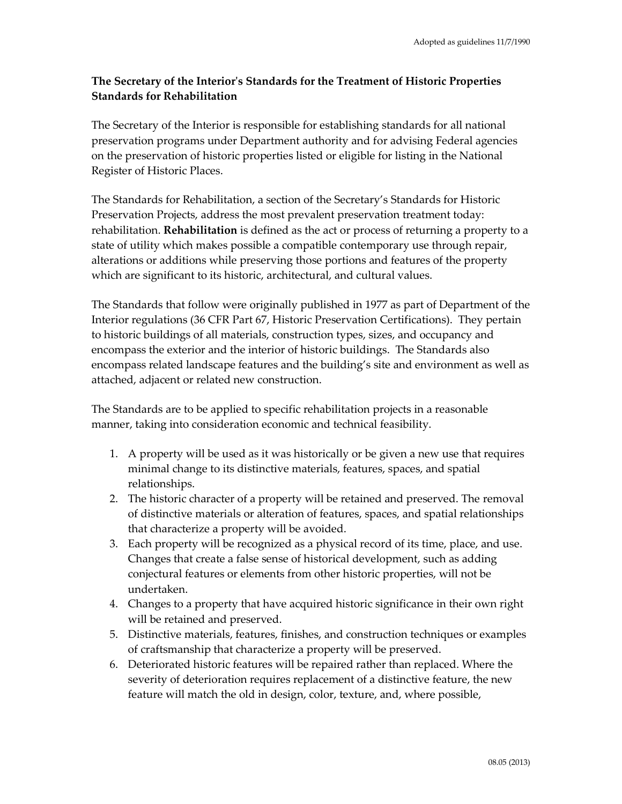## **The Secretary of the Interior's Standards for the Treatment of Historic Properties Standards for Rehabilitation**

The Secretary of the Interior is responsible for establishing standards for all national preservation programs under Department authority and for advising Federal agencies on the preservation of historic properties listed or eligible for listing in the National Register of Historic Places.

The Standards for Rehabilitation, a section of the Secretary's Standards for Historic Preservation Projects, address the most prevalent preservation treatment today: rehabilitation. **Rehabilitation** is defined as the act or process of returning a property to a state of utility which makes possible a compatible contemporary use through repair, alterations or additions while preserving those portions and features of the property which are significant to its historic, architectural, and cultural values.

The Standards that follow were originally published in 1977 as part of Department of the Interior regulations (36 CFR Part 67, Historic Preservation Certifications). They pertain to historic buildings of all materials, construction types, sizes, and occupancy and encompass the exterior and the interior of historic buildings. The Standards also encompass related landscape features and the building's site and environment as well as attached, adjacent or related new construction.

The Standards are to be applied to specific rehabilitation projects in a reasonable manner, taking into consideration economic and technical feasibility.

- 1. A property will be used as it was historically or be given a new use that requires minimal change to its distinctive materials, features, spaces, and spatial relationships.
- 2. The historic character of a property will be retained and preserved. The removal of distinctive materials or alteration of features, spaces, and spatial relationships that characterize a property will be avoided.
- 3. Each property will be recognized as a physical record of its time, place, and use. Changes that create a false sense of historical development, such as adding conjectural features or elements from other historic properties, will not be undertaken.
- 4. Changes to a property that have acquired historic significance in their own right will be retained and preserved.
- 5. Distinctive materials, features, finishes, and construction techniques or examples of craftsmanship that characterize a property will be preserved.
- 6. Deteriorated historic features will be repaired rather than replaced. Where the severity of deterioration requires replacement of a distinctive feature, the new feature will match the old in design, color, texture, and, where possible,